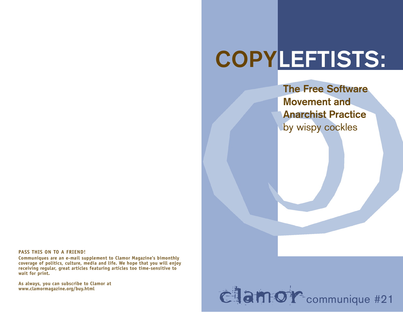# COPYLEFTISTS:

**The Free Software Movement and Anarchist Practice** by wispy cockles

**PASS THIS ON TO A FRIEND!**

**Communiques are an e-mail supplement to Clamor Magazine's bimonthly c ove rage of politics, culture, media and life. We hope that you will enjoy** receiving regular, great articles featuring articles too time-sensitive to **wait for print.** 

As always, you can subscribe to Clamor at www.clamormagazine.org/buy.html

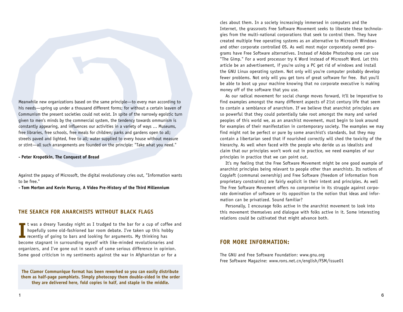Meanwhile new organizations based on the same principle—to every man according to his needs—spring up under a thousand different forms; for without a certain leaven of Communism the present societies could not exist. In spite of the narrowly egoistic turn given to men's minds by the commercial system, the tendency towards ommunism is constantly appearing, and influences our activities in a variety of ways ... Museums, free libraries, free schools, free meals for children; parks and gardens open to all; streets paved and lighted, free to all; water supplied to every house without measure or stint—all such arrangements are founded on the principle: "Take what you need."

**- Peter Kropotkin, The Conquest of Bread**

Against the papacy of Microsoft, the digital revolutionary cries out, "Information wants to be free."

**- Tom Morton and Kevin Murray, A Video Pre-History of the Third Millennium**

## **THE SEARCH FOR ANARCHISTS WITHOUT BLACK FLAGS**

I t was a dreary Tuesday night as I trudged to the bar for a cup of coffee hopefully some old-fashioned bar room debate. I've taken up this hobby recently of going to bars and looking for arguments. My thinking has become t was a dreary Tuesday night as I trudged to the bar for a cup of coffee and hopefully some old-fashioned bar room debate. I've taken up this hobby recently of going to bars and looking for arguments. My thinking has organizers, and I've gone out in search of some serious difference in opinion. Some good criticism in my sentiments against the war in Afghanistan or for a

**The Clamor Communique format has been reworked so you can easily distribute them as half-page pamphlets. Simply photocopy them double-sided in the order they are delivered here, fold copies in half, and staple in the middle.**

cles about them. In a society increasingly immersed in computers and the Internet, the grassroots Free Software Movement seeks to liberate these technologies from the multi-national corporations that seek to control them. They have created multiple free operating systems as an alternative to Microsoft Windows and other corporate controlled OS. As well most major corporately owned programs have Free Software alternatives. Instead of Adobe Photoshop one can use "The Gimp." For a word processor try K Word instead of Microsoft Word. Let this article be an advertisement, if you're using a PC get rid of windows and install the GNU Linux operating system. Not only will you're computer probably develop fewer problems. Not only will you get tons of great software for free. But you'll be able to boot up your machine knowing that no corporate executive is making money off of the software that you use.

As our radical movement for social change moves forward, it'll be imperative to find examples amongst the many different aspects of 21st century life that seem to contain a semblance of anarchism. If we believe that anarchist principles are so powerful that they could potentially take root amongst the many and varied peoples of this world we, as an anarchist movement, must begin to look around for examples of their manifestation in contemporary society. The examples we may find might not be perfect or pure by some anarchist's standards, but they may contain a libertarian seed that if nourished correctly will shed the toxicity of the hierarchy. As well when faced with the people who deride us as idealists and claim that our principles won't work out in practice, we need examples of our principles in practice that we can point out.

It's my feeling that the Free Software Movement might be one good example of anarchist principles being relevant to people other than anarchists. Its notions of Copyleft (communal ownership) and Free Software (freedom of information from proprietary constraints) are fairly explicit in their intent and principles. As well The Free Software Movement offers no compromise in its struggle against corporate domination of software or its opposition to the notion that ideas and information can be privatized. Sound familiar?

Personally, I encourage folks active in the anarchist movement to look into this movement themselves and dialogue with folks active in it. Some interesting relations could be cultivated that might advance both.

# **FOR MORE INFORMATION:**

The GNU and Free Software Foundation: www.qnu.org Free Software Magazine: www.rons.net.cn/english/FSM/issue01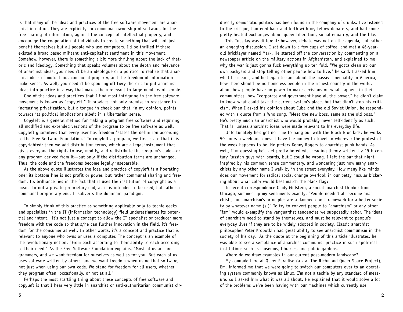is that many of the ideas and practices of the free software movement are anarchist in nature. They are explicitly for communal ownership of software, for the free sharing of information, against the concept of intellectual property, and encourage the cooperation of individuals to create something that will not just benefit themselves but all people who use computers. I'd be thrilled if there existed a broad based militant anti-capitalist sentiment in this movement. Somehow, however, there is something a bit more thrilling about the lack of rhetoric and ideology. Something that speaks volumes about the depth and relevance of anarchist ideas: you needn't be an ideologue or a politico to realize that anarchist ideas of mutual aid, communal property, and the freedom of information make sense. As well, you needn't be spouting off fiery rhetoric to put anarchist ideas into practice in a way that makes them relevant to large numbers of people.

One of the ideas and practices that I find most intriquing in the free software movement is known as "copyleft." It provides not only promise in resistance to increasing privatization, but a tongue in cheek pun that, in my opinion, points towards its political implications albeit in a libertarian sense.

Copyleft is a general method for making a program free software and requiring all modified and extended versions of the program to be free software as well. Copyleft quarantees that every user has freedom "states the definition according to the Free Software Foundation." To copyleft a program, we first state that it is copyrighted; then we add distribution terms, which are a legal instrument that gives everyone the rights to use, modify, and redistribute the program's code-or any program derived from it—but only if the distribution terms are unchanged. Thus, the code and the freedoms become legally inseparable.

As the above quote illustrates the idea and practice of copyleft is a liberating one; its bottom line is not profit or power, but rather communal sharing and freedom. Its brilliance lies in the fact that it uses the institution of copyright as a means to not a private proprietary end, as it is intended to be used, but rather a communal proprietary end. It subverts the dominant paradigm.

To simply think of this practice as something applicable only to techie geeks and specialists in the IT (information technology) field underestimates its potential and intent. It's not just a concept to allow the IT specialist or producer more freedom with the code so that s/he can further innovation in the field, it's freedom for the consumer as well. In other words, it's a concept and practice that is relevant to anyone who owns or uses a computer. The concept is an example of the revolutionary notion, "From each according to their ability to each according to their need." As the Free Software Foundation explains, "Most of us are programmers, and we want freedom for ourselves as well as for you. But each of us uses software written by others, and we want freedom when using that software, not just when using our own code. We stand for freedom for all users, whether they program often, occasionally, or not at all."

Perhaps the most startling thing about these concepts of free software and copyleft is that I hear very little in anarchist or anti-authoritarian communist cir-

directly democratic politics has been found in the company of drunks. I've listened to the critique, bantered back and forth with my fellow debaters, and had some pretty heated exchanges about queer liberation, social equality, and the like.

This Tuesday was different; however, debate was not on the agenda, but rather an engaging discussion. I sat down to a few cups of coffee, and met a 46-yearold bricklayer named Mark. He started off the conversation by commenting on a newspaper article on the military actions in Afghanistan, and explained to me why the war is just gonna fuck everything up ten fold. "We gotta clean up our own backyard and stop telling other people how to live," he said. I asked him what he meant, and he began to rant about the massive inequality in America, how there should be no homeless people in the richest country in the world, about how people have no power to make decisions on what happens in their communities, how "corporate and government have all the power." He didn't claim to know what could take the current system's place, but that didn't stop his criticism. When I asked his opinion about Cuba and the old Soviet Union, he responded with a quote from a Who song, "Meet the new boss, same as the old boss. " He's pretty much an anarchist who would probably never self-identify as such. That is, unless anarchist ideas were made relevant to his everyday life.

Unfortunately he's got no time to hang out with the Black Bloc kids; he works 50 hours a week and doesn't have the money to travel to wherever the protest of the week happens to be. He prefers Kenny Rogers to anarchist punk bands. As well, I' m quessing he'd get pretty bored with reading theory written by 19th century Russian guys with beards, but I could be wrong. I left the bar that night inspired by his common sense commentary, and wondering just how many anarchists by any other name I walk by in the street everyday. How many like minds does our movement for radical social change overlook in our petty, insular bickering about what color would best match the black flag?

In recent correspondence Cindy Millstein, a social anarchist thinker from Chicago, summed up my sentiments exactly: "People needn't all become anarchists, but anarchism's principles are a damned good framework for a better society by whatever name (s.)" To try to convert people to "anarchism" or any other "ism" would exemplify the vanguardist tendencies we supposedly abhor. The ideas of anarchism need to stand by themselves, and must be relevant to people's everyday lives if they are to be widely adopted in society. Classic anarchist philosopher Peter Kropotkin had great ability to see anarchist communism in the society of his day. As the quote at the beginning of this article illustrates, he was able to see a semblance of anarchist communist practice in such apolitical institutions such as museums, libraries, and public gardens.

Where do we draw examples in our current post-modern landscape?

My comrade here at Queer Paradise (a.k.a. The Richmond Queer Space Project), Em, informed me that we were going to switch our computers over to an operating system commonly known as Linux. I'm not a techie by any standard of measure, so I asked him what it was all about. He explained that it would solve a lot of the problems we've been having with our machines which currently use